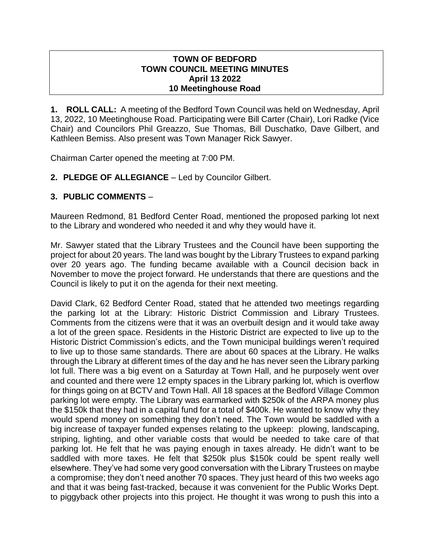### **TOWN OF BEDFORD TOWN COUNCIL MEETING MINUTES April 13 2022 10 Meetinghouse Road**

**1. ROLL CALL:** A meeting of the Bedford Town Council was held on Wednesday, April 13, 2022, 10 Meetinghouse Road. Participating were Bill Carter (Chair), Lori Radke (Vice Chair) and Councilors Phil Greazzo, Sue Thomas, Bill Duschatko, Dave Gilbert, and Kathleen Bemiss. Also present was Town Manager Rick Sawyer.

Chairman Carter opened the meeting at 7:00 PM.

**2. PLEDGE OF ALLEGIANCE** – Led by Councilor Gilbert.

# **3. PUBLIC COMMENTS** –

Maureen Redmond, 81 Bedford Center Road, mentioned the proposed parking lot next to the Library and wondered who needed it and why they would have it.

Mr. Sawyer stated that the Library Trustees and the Council have been supporting the project for about 20 years. The land was bought by the Library Trustees to expand parking over 20 years ago. The funding became available with a Council decision back in November to move the project forward. He understands that there are questions and the Council is likely to put it on the agenda for their next meeting.

David Clark, 62 Bedford Center Road, stated that he attended two meetings regarding the parking lot at the Library: Historic District Commission and Library Trustees. Comments from the citizens were that it was an overbuilt design and it would take away a lot of the green space. Residents in the Historic District are expected to live up to the Historic District Commission's edicts, and the Town municipal buildings weren't required to live up to those same standards. There are about 60 spaces at the Library. He walks through the Library at different times of the day and he has never seen the Library parking lot full. There was a big event on a Saturday at Town Hall, and he purposely went over and counted and there were 12 empty spaces in the Library parking lot, which is overflow for things going on at BCTV and Town Hall. All 18 spaces at the Bedford Village Common parking lot were empty. The Library was earmarked with \$250k of the ARPA money plus the \$150k that they had in a capital fund for a total of \$400k. He wanted to know why they would spend money on something they don't need. The Town would be saddled with a big increase of taxpayer funded expenses relating to the upkeep: plowing, landscaping, striping, lighting, and other variable costs that would be needed to take care of that parking lot. He felt that he was paying enough in taxes already. He didn't want to be saddled with more taxes. He felt that \$250k plus \$150k could be spent really well elsewhere. They've had some very good conversation with the Library Trustees on maybe a compromise; they don't need another 70 spaces. They just heard of this two weeks ago and that it was being fast-tracked, because it was convenient for the Public Works Dept. to piggyback other projects into this project. He thought it was wrong to push this into a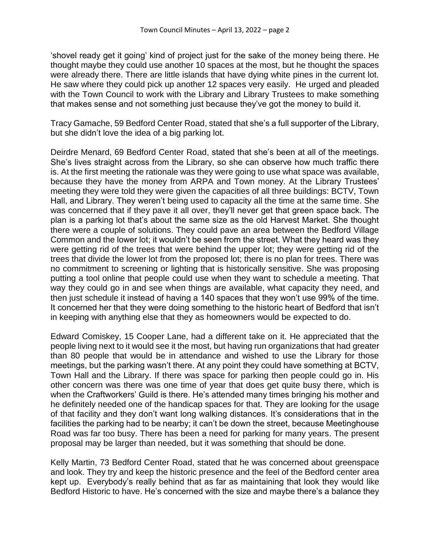'shovel ready get it going' kind of project just for the sake of the money being there. He thought maybe they could use another 10 spaces at the most, but he thought the spaces were already there. There are little islands that have dying white pines in the current lot. He saw where they could pick up another 12 spaces very easily. He urged and pleaded with the Town Council to work with the Library and Library Trustees to make something that makes sense and not something just because they've got the money to build it.

Tracy Gamache, 59 Bedford Center Road, stated that she's a full supporter of the Library, but she didn't love the idea of a big parking lot.

Deirdre Menard, 69 Bedford Center Road, stated that she's been at all of the meetings. She's lives straight across from the Library, so she can observe how much traffic there is. At the first meeting the rationale was they were going to use what space was available, because they have the money from ARPA and Town money. At the Library Trustees' meeting they were told they were given the capacities of all three buildings: BCTV, Town Hall, and Library. They weren't being used to capacity all the time at the same time. She was concerned that if they pave it all over, they'll never get that green space back. The plan is a parking lot that's about the same size as the old Harvest Market. She thought there were a couple of solutions. They could pave an area between the Bedford Village Common and the lower lot; it wouldn't be seen from the street. What they heard was they were getting rid of the trees that were behind the upper lot; they were getting rid of the trees that divide the lower lot from the proposed lot; there is no plan for trees. There was no commitment to screening or lighting that is historically sensitive. She was proposing putting a tool online that people could use when they want to schedule a meeting. That way they could go in and see when things are available, what capacity they need, and then just schedule it instead of having a 140 spaces that they won't use 99% of the time. It concerned her that they were doing something to the historic heart of Bedford that isn't in keeping with anything else that they as homeowners would be expected to do.

Edward Comiskey, 15 Cooper Lane, had a different take on it. He appreciated that the people living next to it would see it the most, but having run organizations that had greater than 80 people that would be in attendance and wished to use the Library for those meetings, but the parking wasn't there. At any point they could have something at BCTV, Town Hall and the Library. If there was space for parking then people could go in. His other concern was there was one time of year that does get quite busy there, which is when the Craftworkers' Guild is there. He's attended many times bringing his mother and he definitely needed one of the handicap spaces for that. They are looking for the usage of that facility and they don't want long walking distances. It's considerations that in the facilities the parking had to be nearby; it can't be down the street, because Meetinghouse Road was far too busy. There has been a need for parking for many years. The present proposal may be larger than needed, but it was something that should be done.

Kelly Martin, 73 Bedford Center Road, stated that he was concerned about greenspace and look. They try and keep the historic presence and the feel of the Bedford center area kept up. Everybody's really behind that as far as maintaining that look they would like Bedford Historic to have. He's concerned with the size and maybe there's a balance they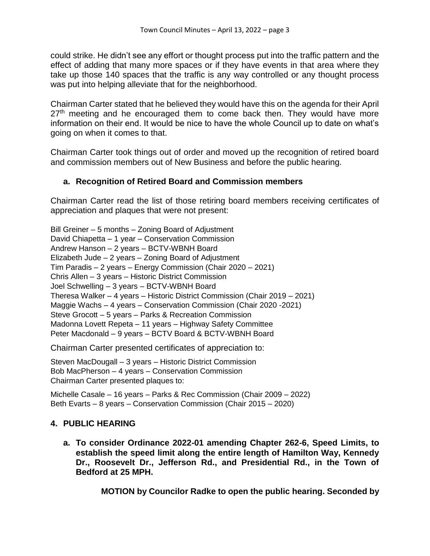could strike. He didn't see any effort or thought process put into the traffic pattern and the effect of adding that many more spaces or if they have events in that area where they take up those 140 spaces that the traffic is any way controlled or any thought process was put into helping alleviate that for the neighborhood.

Chairman Carter stated that he believed they would have this on the agenda for their April  $27<sup>th</sup>$  meeting and he encouraged them to come back then. They would have more information on their end. It would be nice to have the whole Council up to date on what's going on when it comes to that.

Chairman Carter took things out of order and moved up the recognition of retired board and commission members out of New Business and before the public hearing.

# **a. Recognition of Retired Board and Commission members**

Chairman Carter read the list of those retiring board members receiving certificates of appreciation and plaques that were not present:

Bill Greiner – 5 months – Zoning Board of Adjustment David Chiapetta – 1 year – Conservation Commission Andrew Hanson – 2 years – BCTV-WBNH Board Elizabeth Jude – 2 years – Zoning Board of Adjustment Tim Paradis – 2 years – Energy Commission (Chair 2020 – 2021) Chris Allen – 3 years – Historic District Commission Joel Schwelling – 3 years – BCTV-WBNH Board Theresa Walker – 4 years – Historic District Commission (Chair 2019 – 2021) Maggie Wachs – 4 years – Conservation Commission (Chair 2020 -2021) Steve Grocott – 5 years – Parks & Recreation Commission Madonna Lovett Repeta – 11 years – Highway Safety Committee Peter Macdonald – 9 years – BCTV Board & BCTV-WBNH Board

Chairman Carter presented certificates of appreciation to:

Steven MacDougall – 3 years – Historic District Commission Bob MacPherson – 4 years – Conservation Commission Chairman Carter presented plaques to:

Michelle Casale – 16 years – Parks & Rec Commission (Chair 2009 – 2022) Beth Evarts – 8 years – Conservation Commission (Chair 2015 – 2020)

# **4. PUBLIC HEARING**

**a. To consider Ordinance 2022-01 amending Chapter 262-6, Speed Limits, to establish the speed limit along the entire length of Hamilton Way, Kennedy Dr., Roosevelt Dr., Jefferson Rd., and Presidential Rd., in the Town of Bedford at 25 MPH.**

**MOTION by Councilor Radke to open the public hearing. Seconded by**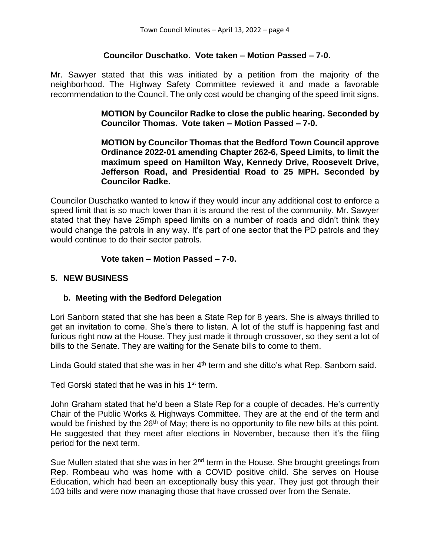### **Councilor Duschatko. Vote taken – Motion Passed – 7-0.**

Mr. Sawyer stated that this was initiated by a petition from the majority of the neighborhood. The Highway Safety Committee reviewed it and made a favorable recommendation to the Council. The only cost would be changing of the speed limit signs.

#### **MOTION by Councilor Radke to close the public hearing. Seconded by Councilor Thomas. Vote taken – Motion Passed – 7-0.**

**MOTION by Councilor Thomas that the Bedford Town Council approve Ordinance 2022-01 amending Chapter 262-6, Speed Limits, to limit the maximum speed on Hamilton Way, Kennedy Drive, Roosevelt Drive, Jefferson Road, and Presidential Road to 25 MPH. Seconded by Councilor Radke.** 

Councilor Duschatko wanted to know if they would incur any additional cost to enforce a speed limit that is so much lower than it is around the rest of the community. Mr. Sawyer stated that they have 25mph speed limits on a number of roads and didn't think they would change the patrols in any way. It's part of one sector that the PD patrols and they would continue to do their sector patrols.

### **Vote taken – Motion Passed – 7-0.**

### **5. NEW BUSINESS**

#### **b. Meeting with the Bedford Delegation**

Lori Sanborn stated that she has been a State Rep for 8 years. She is always thrilled to get an invitation to come. She's there to listen. A lot of the stuff is happening fast and furious right now at the House. They just made it through crossover, so they sent a lot of bills to the Senate. They are waiting for the Senate bills to come to them.

Linda Gould stated that she was in her 4<sup>th</sup> term and she ditto's what Rep. Sanborn said.

Ted Gorski stated that he was in his 1<sup>st</sup> term.

John Graham stated that he'd been a State Rep for a couple of decades. He's currently Chair of the Public Works & Highways Committee. They are at the end of the term and would be finished by the 26<sup>th</sup> of May; there is no opportunity to file new bills at this point. He suggested that they meet after elections in November, because then it's the filing period for the next term.

Sue Mullen stated that she was in her 2<sup>nd</sup> term in the House. She brought greetings from Rep. Rombeau who was home with a COVID positive child. She serves on House Education, which had been an exceptionally busy this year. They just got through their 103 bills and were now managing those that have crossed over from the Senate.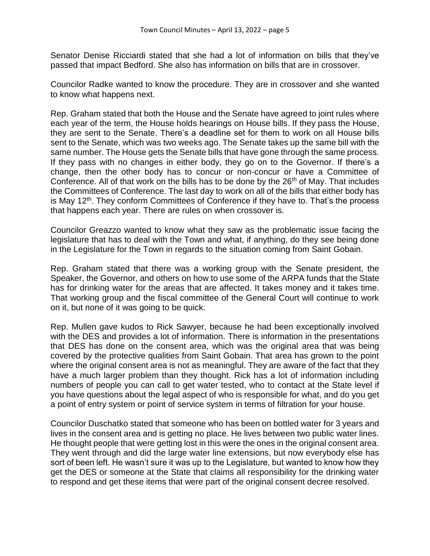Senator Denise Ricciardi stated that she had a lot of information on bills that they've passed that impact Bedford. She also has information on bills that are in crossover.

Councilor Radke wanted to know the procedure. They are in crossover and she wanted to know what happens next.

Rep. Graham stated that both the House and the Senate have agreed to joint rules where each year of the term, the House holds hearings on House bills. If they pass the House, they are sent to the Senate. There's a deadline set for them to work on all House bills sent to the Senate, which was two weeks ago. The Senate takes up the same bill with the same number. The House gets the Senate bills that have gone through the same process. If they pass with no changes in either body, they go on to the Governor. If there's a change, then the other body has to concur or non-concur or have a Committee of Conference. All of that work on the bills has to be done by the 26<sup>th</sup> of May. That includes the Committees of Conference. The last day to work on all of the bills that either body has is May 12<sup>th</sup>. They conform Committees of Conference if they have to. That's the process that happens each year. There are rules on when crossover is.

Councilor Greazzo wanted to know what they saw as the problematic issue facing the legislature that has to deal with the Town and what, if anything, do they see being done in the Legislature for the Town in regards to the situation coming from Saint Gobain.

Rep. Graham stated that there was a working group with the Senate president, the Speaker, the Governor, and others on how to use some of the ARPA funds that the State has for drinking water for the areas that are affected. It takes money and it takes time. That working group and the fiscal committee of the General Court will continue to work on it, but none of it was going to be quick.

Rep. Mullen gave kudos to Rick Sawyer, because he had been exceptionally involved with the DES and provides a lot of information. There is information in the presentations that DES has done on the consent area, which was the original area that was being covered by the protective qualities from Saint Gobain. That area has grown to the point where the original consent area is not as meaningful. They are aware of the fact that they have a much larger problem than they thought. Rick has a lot of information including numbers of people you can call to get water tested, who to contact at the State level if you have questions about the legal aspect of who is responsible for what, and do you get a point of entry system or point of service system in terms of filtration for your house.

Councilor Duschatko stated that someone who has been on bottled water for 3 years and lives in the consent area and is getting no place. He lives between two public water lines. He thought people that were getting lost in this were the ones in the original consent area. They went through and did the large water line extensions, but now everybody else has sort of been left. He wasn't sure it was up to the Legislature, but wanted to know how they get the DES or someone at the State that claims all responsibility for the drinking water to respond and get these items that were part of the original consent decree resolved.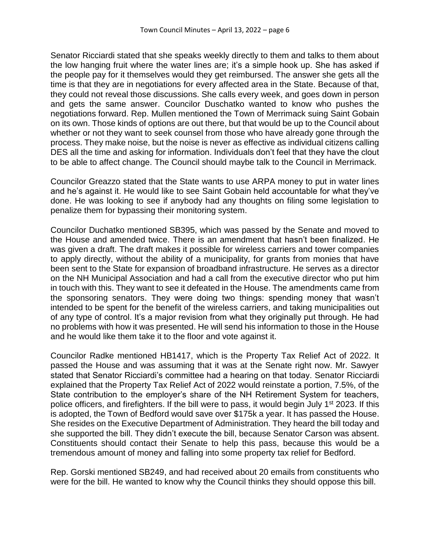Senator Ricciardi stated that she speaks weekly directly to them and talks to them about the low hanging fruit where the water lines are; it's a simple hook up. She has asked if the people pay for it themselves would they get reimbursed. The answer she gets all the time is that they are in negotiations for every affected area in the State. Because of that, they could not reveal those discussions. She calls every week, and goes down in person and gets the same answer. Councilor Duschatko wanted to know who pushes the negotiations forward. Rep. Mullen mentioned the Town of Merrimack suing Saint Gobain on its own. Those kinds of options are out there, but that would be up to the Council about whether or not they want to seek counsel from those who have already gone through the process. They make noise, but the noise is never as effective as individual citizens calling DES all the time and asking for information. Individuals don't feel that they have the clout to be able to affect change. The Council should maybe talk to the Council in Merrimack.

Councilor Greazzo stated that the State wants to use ARPA money to put in water lines and he's against it. He would like to see Saint Gobain held accountable for what they've done. He was looking to see if anybody had any thoughts on filing some legislation to penalize them for bypassing their monitoring system.

Councilor Duchatko mentioned SB395, which was passed by the Senate and moved to the House and amended twice. There is an amendment that hasn't been finalized. He was given a draft. The draft makes it possible for wireless carriers and tower companies to apply directly, without the ability of a municipality, for grants from monies that have been sent to the State for expansion of broadband infrastructure. He serves as a director on the NH Municipal Association and had a call from the executive director who put him in touch with this. They want to see it defeated in the House. The amendments came from the sponsoring senators. They were doing two things: spending money that wasn't intended to be spent for the benefit of the wireless carriers, and taking municipalities out of any type of control. It's a major revision from what they originally put through. He had no problems with how it was presented. He will send his information to those in the House and he would like them take it to the floor and vote against it.

Councilor Radke mentioned HB1417, which is the Property Tax Relief Act of 2022. It passed the House and was assuming that it was at the Senate right now. Mr. Sawyer stated that Senator Ricciardi's committee had a hearing on that today. Senator Ricciardi explained that the Property Tax Relief Act of 2022 would reinstate a portion, 7.5%, of the State contribution to the employer's share of the NH Retirement System for teachers, police officers, and firefighters. If the bill were to pass, it would begin July 1<sup>st</sup> 2023. If this is adopted, the Town of Bedford would save over \$175k a year. It has passed the House. She resides on the Executive Department of Administration. They heard the bill today and she supported the bill. They didn't execute the bill, because Senator Carson was absent. Constituents should contact their Senate to help this pass, because this would be a tremendous amount of money and falling into some property tax relief for Bedford.

Rep. Gorski mentioned SB249, and had received about 20 emails from constituents who were for the bill. He wanted to know why the Council thinks they should oppose this bill.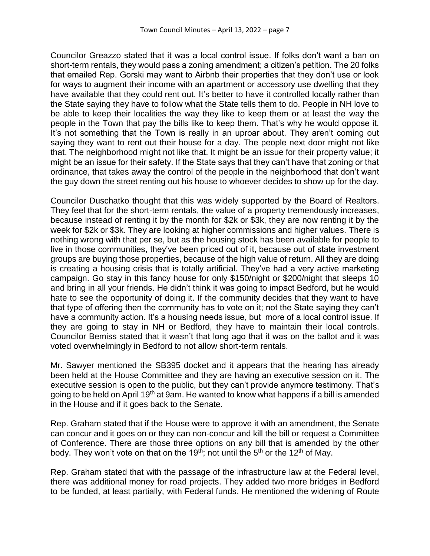Councilor Greazzo stated that it was a local control issue. If folks don't want a ban on short-term rentals, they would pass a zoning amendment; a citizen's petition. The 20 folks that emailed Rep. Gorski may want to Airbnb their properties that they don't use or look for ways to augment their income with an apartment or accessory use dwelling that they have available that they could rent out. It's better to have it controlled locally rather than the State saying they have to follow what the State tells them to do. People in NH love to be able to keep their localities the way they like to keep them or at least the way the people in the Town that pay the bills like to keep them. That's why he would oppose it. It's not something that the Town is really in an uproar about. They aren't coming out saying they want to rent out their house for a day. The people next door might not like that. The neighborhood might not like that. It might be an issue for their property value; it might be an issue for their safety. If the State says that they can't have that zoning or that ordinance, that takes away the control of the people in the neighborhood that don't want the guy down the street renting out his house to whoever decides to show up for the day.

Councilor Duschatko thought that this was widely supported by the Board of Realtors. They feel that for the short-term rentals, the value of a property tremendously increases, because instead of renting it by the month for \$2k or \$3k, they are now renting it by the week for \$2k or \$3k. They are looking at higher commissions and higher values. There is nothing wrong with that per se, but as the housing stock has been available for people to live in those communities, they've been priced out of it, because out of state investment groups are buying those properties, because of the high value of return. All they are doing is creating a housing crisis that is totally artificial. They've had a very active marketing campaign. Go stay in this fancy house for only \$150/night or \$200/night that sleeps 10 and bring in all your friends. He didn't think it was going to impact Bedford, but he would hate to see the opportunity of doing it. If the community decides that they want to have that type of offering then the community has to vote on it; not the State saying they can't have a community action. It's a housing needs issue, but more of a local control issue. If they are going to stay in NH or Bedford, they have to maintain their local controls. Councilor Bemiss stated that it wasn't that long ago that it was on the ballot and it was voted overwhelmingly in Bedford to not allow short-term rentals.

Mr. Sawyer mentioned the SB395 docket and it appears that the hearing has already been held at the House Committee and they are having an executive session on it. The executive session is open to the public, but they can't provide anymore testimony. That's going to be held on April 19th at 9am. He wanted to know what happens if a bill is amended in the House and if it goes back to the Senate.

Rep. Graham stated that if the House were to approve it with an amendment, the Senate can concur and it goes on or they can non-concur and kill the bill or request a Committee of Conference. There are those three options on any bill that is amended by the other body. They won't vote on that on the 19<sup>th</sup>; not until the 5<sup>th</sup> or the 12<sup>th</sup> of May.

Rep. Graham stated that with the passage of the infrastructure law at the Federal level, there was additional money for road projects. They added two more bridges in Bedford to be funded, at least partially, with Federal funds. He mentioned the widening of Route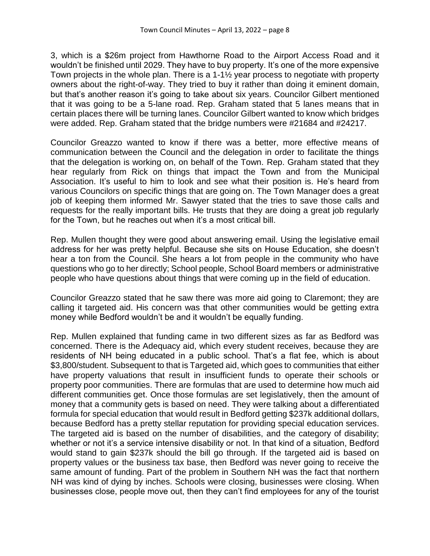3, which is a \$26m project from Hawthorne Road to the Airport Access Road and it wouldn't be finished until 2029. They have to buy property. It's one of the more expensive Town projects in the whole plan. There is a 1-1½ year process to negotiate with property owners about the right-of-way. They tried to buy it rather than doing it eminent domain, but that's another reason it's going to take about six years. Councilor Gilbert mentioned that it was going to be a 5-lane road. Rep. Graham stated that 5 lanes means that in certain places there will be turning lanes. Councilor Gilbert wanted to know which bridges were added. Rep. Graham stated that the bridge numbers were #21684 and #24217.

Councilor Greazzo wanted to know if there was a better, more effective means of communication between the Council and the delegation in order to facilitate the things that the delegation is working on, on behalf of the Town. Rep. Graham stated that they hear regularly from Rick on things that impact the Town and from the Municipal Association. It's useful to him to look and see what their position is. He's heard from various Councilors on specific things that are going on. The Town Manager does a great job of keeping them informed Mr. Sawyer stated that the tries to save those calls and requests for the really important bills. He trusts that they are doing a great job regularly for the Town, but he reaches out when it's a most critical bill.

Rep. Mullen thought they were good about answering email. Using the legislative email address for her was pretty helpful. Because she sits on House Education, she doesn't hear a ton from the Council. She hears a lot from people in the community who have questions who go to her directly; School people, School Board members or administrative people who have questions about things that were coming up in the field of education.

Councilor Greazzo stated that he saw there was more aid going to Claremont; they are calling it targeted aid. His concern was that other communities would be getting extra money while Bedford wouldn't be and it wouldn't be equally funding.

Rep. Mullen explained that funding came in two different sizes as far as Bedford was concerned. There is the Adequacy aid, which every student receives, because they are residents of NH being educated in a public school. That's a flat fee, which is about \$3,800/student. Subsequent to that is Targeted aid, which goes to communities that either have property valuations that result in insufficient funds to operate their schools or property poor communities. There are formulas that are used to determine how much aid different communities get. Once those formulas are set legislatively, then the amount of money that a community gets is based on need. They were talking about a differentiated formula for special education that would result in Bedford getting \$237k additional dollars, because Bedford has a pretty stellar reputation for providing special education services. The targeted aid is based on the number of disabilities, and the category of disability; whether or not it's a service intensive disability or not. In that kind of a situation, Bedford would stand to gain \$237k should the bill go through. If the targeted aid is based on property values or the business tax base, then Bedford was never going to receive the same amount of funding. Part of the problem in Southern NH was the fact that northern NH was kind of dying by inches. Schools were closing, businesses were closing. When businesses close, people move out, then they can't find employees for any of the tourist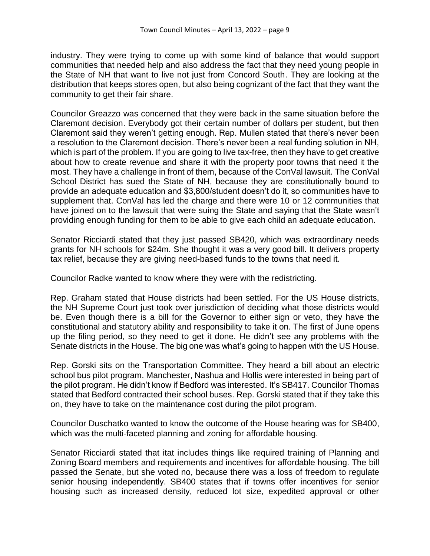industry. They were trying to come up with some kind of balance that would support communities that needed help and also address the fact that they need young people in the State of NH that want to live not just from Concord South. They are looking at the distribution that keeps stores open, but also being cognizant of the fact that they want the community to get their fair share.

Councilor Greazzo was concerned that they were back in the same situation before the Claremont decision. Everybody got their certain number of dollars per student, but then Claremont said they weren't getting enough. Rep. Mullen stated that there's never been a resolution to the Claremont decision. There's never been a real funding solution in NH, which is part of the problem. If you are going to live tax-free, then they have to get creative about how to create revenue and share it with the property poor towns that need it the most. They have a challenge in front of them, because of the ConVal lawsuit. The ConVal School District has sued the State of NH, because they are constitutionally bound to provide an adequate education and \$3,800/student doesn't do it, so communities have to supplement that. ConVal has led the charge and there were 10 or 12 communities that have joined on to the lawsuit that were suing the State and saying that the State wasn't providing enough funding for them to be able to give each child an adequate education.

Senator Ricciardi stated that they just passed SB420, which was extraordinary needs grants for NH schools for \$24m. She thought it was a very good bill. It delivers property tax relief, because they are giving need-based funds to the towns that need it.

Councilor Radke wanted to know where they were with the redistricting.

Rep. Graham stated that House districts had been settled. For the US House districts, the NH Supreme Court just took over jurisdiction of deciding what those districts would be. Even though there is a bill for the Governor to either sign or veto, they have the constitutional and statutory ability and responsibility to take it on. The first of June opens up the filing period, so they need to get it done. He didn't see any problems with the Senate districts in the House. The big one was what's going to happen with the US House.

Rep. Gorski sits on the Transportation Committee. They heard a bill about an electric school bus pilot program. Manchester, Nashua and Hollis were interested in being part of the pilot program. He didn't know if Bedford was interested. It's SB417. Councilor Thomas stated that Bedford contracted their school buses. Rep. Gorski stated that if they take this on, they have to take on the maintenance cost during the pilot program.

Councilor Duschatko wanted to know the outcome of the House hearing was for SB400, which was the multi-faceted planning and zoning for affordable housing.

Senator Ricciardi stated that itat includes things like required training of Planning and Zoning Board members and requirements and incentives for affordable housing. The bill passed the Senate, but she voted no, because there was a loss of freedom to regulate senior housing independently. SB400 states that if towns offer incentives for senior housing such as increased density, reduced lot size, expedited approval or other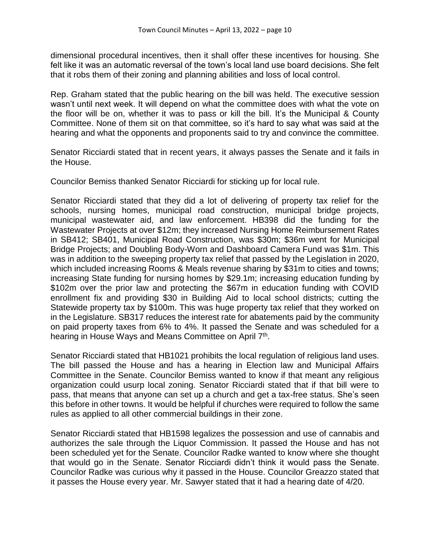dimensional procedural incentives, then it shall offer these incentives for housing. She felt like it was an automatic reversal of the town's local land use board decisions. She felt that it robs them of their zoning and planning abilities and loss of local control.

Rep. Graham stated that the public hearing on the bill was held. The executive session wasn't until next week. It will depend on what the committee does with what the vote on the floor will be on, whether it was to pass or kill the bill. It's the Municipal & County Committee. None of them sit on that committee, so it's hard to say what was said at the hearing and what the opponents and proponents said to try and convince the committee.

Senator Ricciardi stated that in recent years, it always passes the Senate and it fails in the House.

Councilor Bemiss thanked Senator Ricciardi for sticking up for local rule.

Senator Ricciardi stated that they did a lot of delivering of property tax relief for the schools, nursing homes, municipal road construction, municipal bridge projects, municipal wastewater aid, and law enforcement. HB398 did the funding for the Wastewater Projects at over \$12m; they increased Nursing Home Reimbursement Rates in SB412; SB401, Municipal Road Construction, was \$30m; \$36m went for Municipal Bridge Projects; and Doubling Body-Worn and Dashboard Camera Fund was \$1m. This was in addition to the sweeping property tax relief that passed by the Legislation in 2020, which included increasing Rooms & Meals revenue sharing by \$31m to cities and towns; increasing State funding for nursing homes by \$29.1m; increasing education funding by \$102m over the prior law and protecting the \$67m in education funding with COVID enrollment fix and providing \$30 in Building Aid to local school districts; cutting the Statewide property tax by \$100m. This was huge property tax relief that they worked on in the Legislature. SB317 reduces the interest rate for abatements paid by the community on paid property taxes from 6% to 4%. It passed the Senate and was scheduled for a hearing in House Ways and Means Committee on April 7<sup>th</sup>.

Senator Ricciardi stated that HB1021 prohibits the local regulation of religious land uses. The bill passed the House and has a hearing in Election law and Municipal Affairs Committee in the Senate. Councilor Bemiss wanted to know if that meant any religious organization could usurp local zoning. Senator Ricciardi stated that if that bill were to pass, that means that anyone can set up a church and get a tax-free status. She's seen this before in other towns. It would be helpful if churches were required to follow the same rules as applied to all other commercial buildings in their zone.

Senator Ricciardi stated that HB1598 legalizes the possession and use of cannabis and authorizes the sale through the Liquor Commission. It passed the House and has not been scheduled yet for the Senate. Councilor Radke wanted to know where she thought that would go in the Senate. Senator Ricciardi didn't think it would pass the Senate. Councilor Radke was curious why it passed in the House. Councilor Greazzo stated that it passes the House every year. Mr. Sawyer stated that it had a hearing date of 4/20.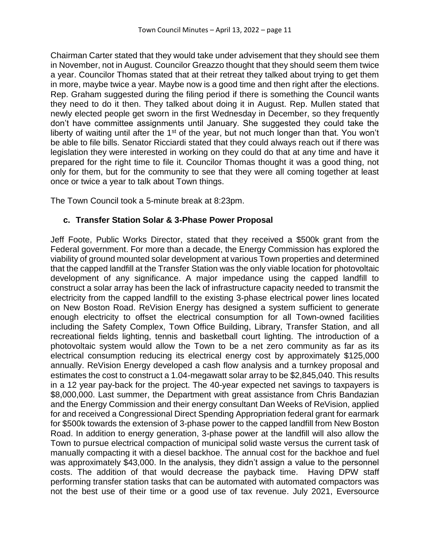Chairman Carter stated that they would take under advisement that they should see them in November, not in August. Councilor Greazzo thought that they should seem them twice a year. Councilor Thomas stated that at their retreat they talked about trying to get them in more, maybe twice a year. Maybe now is a good time and then right after the elections. Rep. Graham suggested during the filing period if there is something the Council wants they need to do it then. They talked about doing it in August. Rep. Mullen stated that newly elected people get sworn in the first Wednesday in December, so they frequently don't have committee assignments until January. She suggested they could take the liberty of waiting until after the 1<sup>st</sup> of the year, but not much longer than that. You won't be able to file bills. Senator Ricciardi stated that they could always reach out if there was legislation they were interested in working on they could do that at any time and have it prepared for the right time to file it. Councilor Thomas thought it was a good thing, not only for them, but for the community to see that they were all coming together at least once or twice a year to talk about Town things.

The Town Council took a 5-minute break at 8:23pm.

# **c. Transfer Station Solar & 3-Phase Power Proposal**

Jeff Foote, Public Works Director, stated that they received a \$500k grant from the Federal government. For more than a decade, the Energy Commission has explored the viability of ground mounted solar development at various Town properties and determined that the capped landfill at the Transfer Station was the only viable location for photovoltaic development of any significance. A major impedance using the capped landfill to construct a solar array has been the lack of infrastructure capacity needed to transmit the electricity from the capped landfill to the existing 3-phase electrical power lines located on New Boston Road. ReVision Energy has designed a system sufficient to generate enough electricity to offset the electrical consumption for all Town-owned facilities including the Safety Complex, Town Office Building, Library, Transfer Station, and all recreational fields lighting, tennis and basketball court lighting. The introduction of a photovoltaic system would allow the Town to be a net zero community as far as its electrical consumption reducing its electrical energy cost by approximately \$125,000 annually. ReVision Energy developed a cash flow analysis and a turnkey proposal and estimates the cost to construct a 1.04-megawatt solar array to be \$2,845,040. This results in a 12 year pay-back for the project. The 40-year expected net savings to taxpayers is \$8,000,000. Last summer, the Department with great assistance from Chris Bandazian and the Energy Commission and their energy consultant Dan Weeks of ReVision, applied for and received a Congressional Direct Spending Appropriation federal grant for earmark for \$500k towards the extension of 3-phase power to the capped landfill from New Boston Road. In addition to energy generation, 3-phase power at the landfill will also allow the Town to pursue electrical compaction of municipal solid waste versus the current task of manually compacting it with a diesel backhoe. The annual cost for the backhoe and fuel was approximately \$43,000. In the analysis, they didn't assign a value to the personnel costs. The addition of that would decrease the payback time. Having DPW staff performing transfer station tasks that can be automated with automated compactors was not the best use of their time or a good use of tax revenue. July 2021, Eversource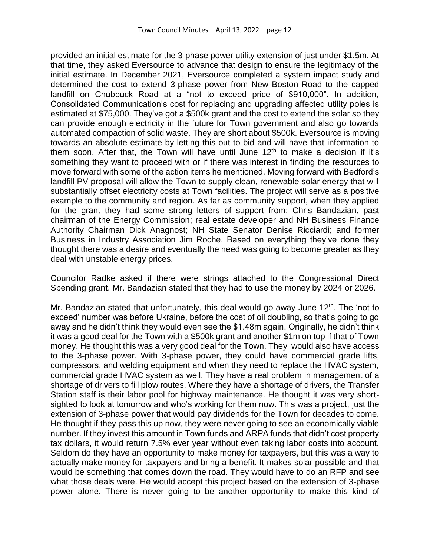provided an initial estimate for the 3-phase power utility extension of just under \$1.5m. At that time, they asked Eversource to advance that design to ensure the legitimacy of the initial estimate. In December 2021, Eversource completed a system impact study and determined the cost to extend 3-phase power from New Boston Road to the capped landfill on Chubbuck Road at a "not to exceed price of \$910,000". In addition, Consolidated Communication's cost for replacing and upgrading affected utility poles is estimated at \$75,000. They've got a \$500k grant and the cost to extend the solar so they can provide enough electricity in the future for Town government and also go towards automated compaction of solid waste. They are short about \$500k. Eversource is moving towards an absolute estimate by letting this out to bid and will have that information to them soon. After that, the Town will have until June  $12<sup>th</sup>$  to make a decision if it's something they want to proceed with or if there was interest in finding the resources to move forward with some of the action items he mentioned. Moving forward with Bedford's landfill PV proposal will allow the Town to supply clean, renewable solar energy that will substantially offset electricity costs at Town facilities. The project will serve as a positive example to the community and region. As far as community support, when they applied for the grant they had some strong letters of support from: Chris Bandazian, past chairman of the Energy Commission; real estate developer and NH Business Finance Authority Chairman Dick Anagnost; NH State Senator Denise Ricciardi; and former Business in Industry Association Jim Roche. Based on everything they've done they thought there was a desire and eventually the need was going to become greater as they deal with unstable energy prices.

Councilor Radke asked if there were strings attached to the Congressional Direct Spending grant. Mr. Bandazian stated that they had to use the money by 2024 or 2026.

Mr. Bandazian stated that unfortunately, this deal would go away June  $12<sup>th</sup>$ . The 'not to exceed' number was before Ukraine, before the cost of oil doubling, so that's going to go away and he didn't think they would even see the \$1.48m again. Originally, he didn't think it was a good deal for the Town with a \$500k grant and another \$1m on top if that of Town money. He thought this was a very good deal for the Town. They would also have access to the 3-phase power. With 3-phase power, they could have commercial grade lifts, compressors, and welding equipment and when they need to replace the HVAC system, commercial grade HVAC system as well. They have a real problem in management of a shortage of drivers to fill plow routes. Where they have a shortage of drivers, the Transfer Station staff is their labor pool for highway maintenance. He thought it was very shortsighted to look at tomorrow and who's working for them now. This was a project, just the extension of 3-phase power that would pay dividends for the Town for decades to come. He thought if they pass this up now, they were never going to see an economically viable number. If they invest this amount in Town funds and ARPA funds that didn't cost property tax dollars, it would return 7.5% ever year without even taking labor costs into account. Seldom do they have an opportunity to make money for taxpayers, but this was a way to actually make money for taxpayers and bring a benefit. It makes solar possible and that would be something that comes down the road. They would have to do an RFP and see what those deals were. He would accept this project based on the extension of 3-phase power alone. There is never going to be another opportunity to make this kind of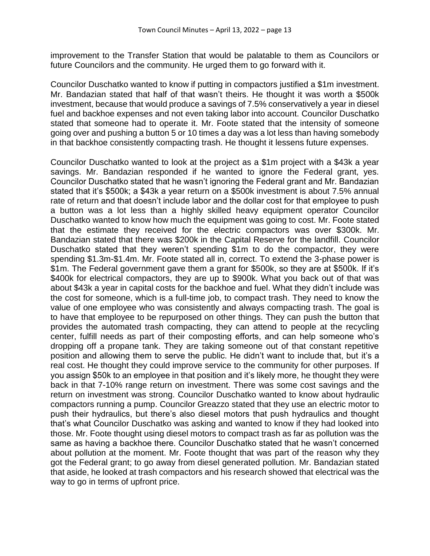improvement to the Transfer Station that would be palatable to them as Councilors or future Councilors and the community. He urged them to go forward with it.

Councilor Duschatko wanted to know if putting in compactors justified a \$1m investment. Mr. Bandazian stated that half of that wasn't theirs. He thought it was worth a \$500k investment, because that would produce a savings of 7.5% conservatively a year in diesel fuel and backhoe expenses and not even taking labor into account. Councilor Duschatko stated that someone had to operate it. Mr. Foote stated that the intensity of someone going over and pushing a button 5 or 10 times a day was a lot less than having somebody in that backhoe consistently compacting trash. He thought it lessens future expenses.

Councilor Duschatko wanted to look at the project as a \$1m project with a \$43k a year savings. Mr. Bandazian responded if he wanted to ignore the Federal grant, yes. Councilor Duschatko stated that he wasn't ignoring the Federal grant and Mr. Bandazian stated that it's \$500k; a \$43k a year return on a \$500k investment is about 7.5% annual rate of return and that doesn't include labor and the dollar cost for that employee to push a button was a lot less than a highly skilled heavy equipment operator Councilor Duschatko wanted to know how much the equipment was going to cost. Mr. Foote stated that the estimate they received for the electric compactors was over \$300k. Mr. Bandazian stated that there was \$200k in the Capital Reserve for the landfill. Councilor Duschatko stated that they weren't spending \$1m to do the compactor, they were spending \$1.3m-\$1.4m. Mr. Foote stated all in, correct. To extend the 3-phase power is \$1m. The Federal government gave them a grant for \$500k, so they are at \$500k. If it's \$400k for electrical compactors, they are up to \$900k. What you back out of that was about \$43k a year in capital costs for the backhoe and fuel. What they didn't include was the cost for someone, which is a full-time job, to compact trash. They need to know the value of one employee who was consistently and always compacting trash. The goal is to have that employee to be repurposed on other things. They can push the button that provides the automated trash compacting, they can attend to people at the recycling center, fulfill needs as part of their composting efforts, and can help someone who's dropping off a propane tank. They are taking someone out of that constant repetitive position and allowing them to serve the public. He didn't want to include that, but it's a real cost. He thought they could improve service to the community for other purposes. If you assign \$50k to an employee in that position and it's likely more, he thought they were back in that 7-10% range return on investment. There was some cost savings and the return on investment was strong. Councilor Duschatko wanted to know about hydraulic compactors running a pump. Councilor Greazzo stated that they use an electric motor to push their hydraulics, but there's also diesel motors that push hydraulics and thought that's what Councilor Duschatko was asking and wanted to know if they had looked into those. Mr. Foote thought using diesel motors to compact trash as far as pollution was the same as having a backhoe there. Councilor Duschatko stated that he wasn't concerned about pollution at the moment. Mr. Foote thought that was part of the reason why they got the Federal grant; to go away from diesel generated pollution. Mr. Bandazian stated that aside, he looked at trash compactors and his research showed that electrical was the way to go in terms of upfront price.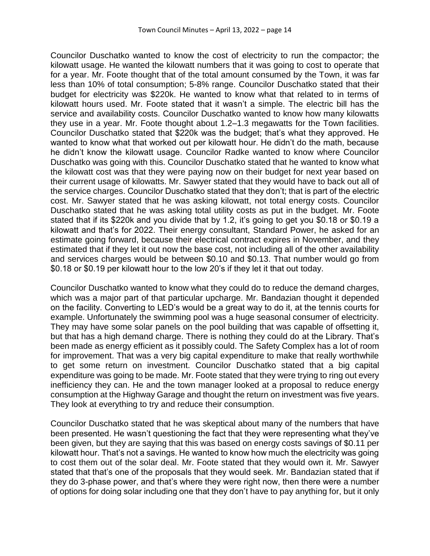Councilor Duschatko wanted to know the cost of electricity to run the compactor; the kilowatt usage. He wanted the kilowatt numbers that it was going to cost to operate that for a year. Mr. Foote thought that of the total amount consumed by the Town, it was far less than 10% of total consumption; 5-8% range. Councilor Duschatko stated that their budget for electricity was \$220k. He wanted to know what that related to in terms of kilowatt hours used. Mr. Foote stated that it wasn't a simple. The electric bill has the service and availability costs. Councilor Duschatko wanted to know how many kilowatts they use in a year. Mr. Foote thought about 1.2–1.3 megawatts for the Town facilities. Councilor Duschatko stated that \$220k was the budget; that's what they approved. He wanted to know what that worked out per kilowatt hour. He didn't do the math, because he didn't know the kilowatt usage. Councilor Radke wanted to know where Councilor Duschatko was going with this. Councilor Duschatko stated that he wanted to know what the kilowatt cost was that they were paying now on their budget for next year based on their current usage of kilowatts. Mr. Sawyer stated that they would have to back out all of the service charges. Councilor Duschatko stated that they don't; that is part of the electric cost. Mr. Sawyer stated that he was asking kilowatt, not total energy costs. Councilor Duschatko stated that he was asking total utility costs as put in the budget. Mr. Foote stated that if its \$220k and you divide that by 1.2, it's going to get you \$0.18 or \$0.19 a kilowatt and that's for 2022. Their energy consultant, Standard Power, he asked for an estimate going forward, because their electrical contract expires in November, and they estimated that if they let it out now the base cost, not including all of the other availability and services charges would be between \$0.10 and \$0.13. That number would go from \$0.18 or \$0.19 per kilowatt hour to the low 20's if they let it that out today.

Councilor Duschatko wanted to know what they could do to reduce the demand charges, which was a major part of that particular upcharge. Mr. Bandazian thought it depended on the facility. Converting to LED's would be a great way to do it, at the tennis courts for example. Unfortunately the swimming pool was a huge seasonal consumer of electricity. They may have some solar panels on the pool building that was capable of offsetting it, but that has a high demand charge. There is nothing they could do at the Library. That's been made as energy efficient as it possibly could. The Safety Complex has a lot of room for improvement. That was a very big capital expenditure to make that really worthwhile to get some return on investment. Councilor Duschatko stated that a big capital expenditure was going to be made. Mr. Foote stated that they were trying to ring out every inefficiency they can. He and the town manager looked at a proposal to reduce energy consumption at the Highway Garage and thought the return on investment was five years. They look at everything to try and reduce their consumption.

Councilor Duschatko stated that he was skeptical about many of the numbers that have been presented. He wasn't questioning the fact that they were representing what they've been given, but they are saying that this was based on energy costs savings of \$0.11 per kilowatt hour. That's not a savings. He wanted to know how much the electricity was going to cost them out of the solar deal. Mr. Foote stated that they would own it. Mr. Sawyer stated that that's one of the proposals that they would seek. Mr. Bandazian stated that if they do 3-phase power, and that's where they were right now, then there were a number of options for doing solar including one that they don't have to pay anything for, but it only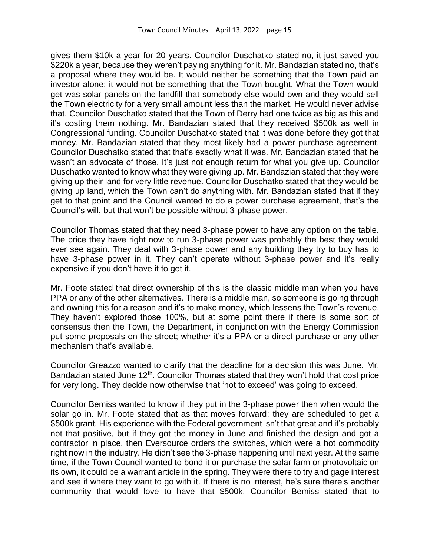gives them \$10k a year for 20 years. Councilor Duschatko stated no, it just saved you \$220k a year, because they weren't paying anything for it. Mr. Bandazian stated no, that's a proposal where they would be. It would neither be something that the Town paid an investor alone; it would not be something that the Town bought. What the Town would get was solar panels on the landfill that somebody else would own and they would sell the Town electricity for a very small amount less than the market. He would never advise that. Councilor Duschatko stated that the Town of Derry had one twice as big as this and it's costing them nothing. Mr. Bandazian stated that they received \$500k as well in Congressional funding. Councilor Duschatko stated that it was done before they got that money. Mr. Bandazian stated that they most likely had a power purchase agreement. Councilor Duschatko stated that that's exactly what it was. Mr. Bandazian stated that he wasn't an advocate of those. It's just not enough return for what you give up. Councilor Duschatko wanted to know what they were giving up. Mr. Bandazian stated that they were giving up their land for very little revenue. Councilor Duschatko stated that they would be giving up land, which the Town can't do anything with. Mr. Bandazian stated that if they get to that point and the Council wanted to do a power purchase agreement, that's the Council's will, but that won't be possible without 3-phase power.

Councilor Thomas stated that they need 3-phase power to have any option on the table. The price they have right now to run 3-phase power was probably the best they would ever see again. They deal with 3-phase power and any building they try to buy has to have 3-phase power in it. They can't operate without 3-phase power and it's really expensive if you don't have it to get it.

Mr. Foote stated that direct ownership of this is the classic middle man when you have PPA or any of the other alternatives. There is a middle man, so someone is going through and owning this for a reason and it's to make money, which lessens the Town's revenue. They haven't explored those 100%, but at some point there if there is some sort of consensus then the Town, the Department, in conjunction with the Energy Commission put some proposals on the street; whether it's a PPA or a direct purchase or any other mechanism that's available.

Councilor Greazzo wanted to clarify that the deadline for a decision this was June. Mr. Bandazian stated June 12<sup>th</sup>. Councilor Thomas stated that they won't hold that cost price for very long. They decide now otherwise that 'not to exceed' was going to exceed.

Councilor Bemiss wanted to know if they put in the 3-phase power then when would the solar go in. Mr. Foote stated that as that moves forward; they are scheduled to get a \$500k grant. His experience with the Federal government isn't that great and it's probably not that positive, but if they got the money in June and finished the design and got a contractor in place, then Eversource orders the switches, which were a hot commodity right now in the industry. He didn't see the 3-phase happening until next year. At the same time, if the Town Council wanted to bond it or purchase the solar farm or photovoltaic on its own, it could be a warrant article in the spring. They were there to try and gage interest and see if where they want to go with it. If there is no interest, he's sure there's another community that would love to have that \$500k. Councilor Bemiss stated that to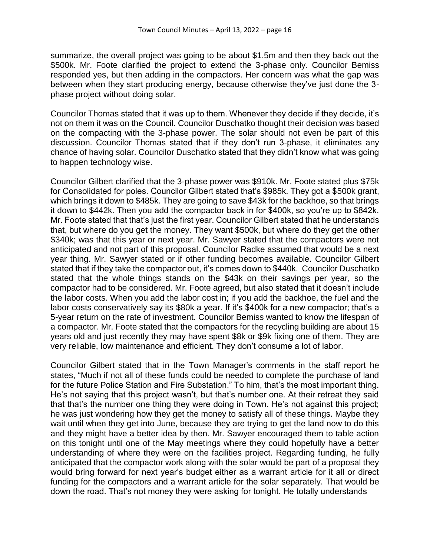summarize, the overall project was going to be about \$1.5m and then they back out the \$500k. Mr. Foote clarified the project to extend the 3-phase only. Councilor Bemiss responded yes, but then adding in the compactors. Her concern was what the gap was between when they start producing energy, because otherwise they've just done the 3 phase project without doing solar.

Councilor Thomas stated that it was up to them. Whenever they decide if they decide, it's not on them it was on the Council. Councilor Duschatko thought their decision was based on the compacting with the 3-phase power. The solar should not even be part of this discussion. Councilor Thomas stated that if they don't run 3-phase, it eliminates any chance of having solar. Councilor Duschatko stated that they didn't know what was going to happen technology wise.

Councilor Gilbert clarified that the 3-phase power was \$910k. Mr. Foote stated plus \$75k for Consolidated for poles. Councilor Gilbert stated that's \$985k. They got a \$500k grant, which brings it down to \$485k. They are going to save \$43k for the backhoe, so that brings it down to \$442k. Then you add the compactor back in for \$400k, so you're up to \$842k. Mr. Foote stated that that's just the first year. Councilor Gilbert stated that he understands that, but where do you get the money. They want \$500k, but where do they get the other \$340k; was that this year or next year. Mr. Sawyer stated that the compactors were not anticipated and not part of this proposal. Councilor Radke assumed that would be a next year thing. Mr. Sawyer stated or if other funding becomes available. Councilor Gilbert stated that if they take the compactor out, it's comes down to \$440k. Councilor Duschatko stated that the whole things stands on the \$43k on their savings per year, so the compactor had to be considered. Mr. Foote agreed, but also stated that it doesn't include the labor costs. When you add the labor cost in; if you add the backhoe, the fuel and the labor costs conservatively say its \$80k a year. If it's \$400k for a new compactor; that's a 5-year return on the rate of investment. Councilor Bemiss wanted to know the lifespan of a compactor. Mr. Foote stated that the compactors for the recycling building are about 15 years old and just recently they may have spent \$8k or \$9k fixing one of them. They are very reliable, low maintenance and efficient. They don't consume a lot of labor.

Councilor Gilbert stated that in the Town Manager's comments in the staff report he states, "Much if not all of these funds could be needed to complete the purchase of land for the future Police Station and Fire Substation." To him, that's the most important thing. He's not saying that this project wasn't, but that's number one. At their retreat they said that that's the number one thing they were doing in Town. He's not against this project; he was just wondering how they get the money to satisfy all of these things. Maybe they wait until when they get into June, because they are trying to get the land now to do this and they might have a better idea by then. Mr. Sawyer encouraged them to table action on this tonight until one of the May meetings where they could hopefully have a better understanding of where they were on the facilities project. Regarding funding, he fully anticipated that the compactor work along with the solar would be part of a proposal they would bring forward for next year's budget either as a warrant article for it all or direct funding for the compactors and a warrant article for the solar separately. That would be down the road. That's not money they were asking for tonight. He totally understands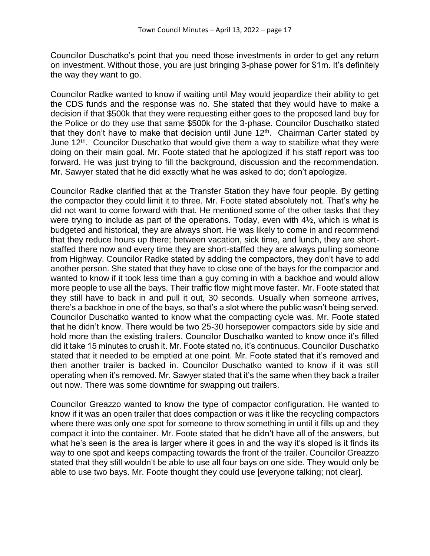Councilor Duschatko's point that you need those investments in order to get any return on investment. Without those, you are just bringing 3-phase power for \$1m. It's definitely the way they want to go.

Councilor Radke wanted to know if waiting until May would jeopardize their ability to get the CDS funds and the response was no. She stated that they would have to make a decision if that \$500k that they were requesting either goes to the proposed land buy for the Police or do they use that same \$500k for the 3-phase. Councilor Duschatko stated that they don't have to make that decision until June  $12<sup>th</sup>$ . Chairman Carter stated by June 12<sup>th</sup>. Councilor Duschatko that would give them a way to stabilize what they were doing on their main goal. Mr. Foote stated that he apologized if his staff report was too forward. He was just trying to fill the background, discussion and the recommendation. Mr. Sawyer stated that he did exactly what he was asked to do; don't apologize.

Councilor Radke clarified that at the Transfer Station they have four people. By getting the compactor they could limit it to three. Mr. Foote stated absolutely not. That's why he did not want to come forward with that. He mentioned some of the other tasks that they were trying to include as part of the operations. Today, even with  $4\frac{1}{2}$ , which is what is budgeted and historical, they are always short. He was likely to come in and recommend that they reduce hours up there; between vacation, sick time, and lunch, they are shortstaffed there now and every time they are short-staffed they are always pulling someone from Highway. Councilor Radke stated by adding the compactors, they don't have to add another person. She stated that they have to close one of the bays for the compactor and wanted to know if it took less time than a guy coming in with a backhoe and would allow more people to use all the bays. Their traffic flow might move faster. Mr. Foote stated that they still have to back in and pull it out, 30 seconds. Usually when someone arrives, there's a backhoe in one of the bays, so that's a slot where the public wasn't being served. Councilor Duschatko wanted to know what the compacting cycle was. Mr. Foote stated that he didn't know. There would be two 25-30 horsepower compactors side by side and hold more than the existing trailers. Councilor Duschatko wanted to know once it's filled did it take 15 minutes to crush it. Mr. Foote stated no, it's continuous. Councilor Duschatko stated that it needed to be emptied at one point. Mr. Foote stated that it's removed and then another trailer is backed in. Councilor Duschatko wanted to know if it was still operating when it's removed. Mr. Sawyer stated that it's the same when they back a trailer out now. There was some downtime for swapping out trailers.

Councilor Greazzo wanted to know the type of compactor configuration. He wanted to know if it was an open trailer that does compaction or was it like the recycling compactors where there was only one spot for someone to throw something in until it fills up and they compact it into the container. Mr. Foote stated that he didn't have all of the answers, but what he's seen is the area is larger where it goes in and the way it's sloped is it finds its way to one spot and keeps compacting towards the front of the trailer. Councilor Greazzo stated that they still wouldn't be able to use all four bays on one side. They would only be able to use two bays. Mr. Foote thought they could use [everyone talking; not clear].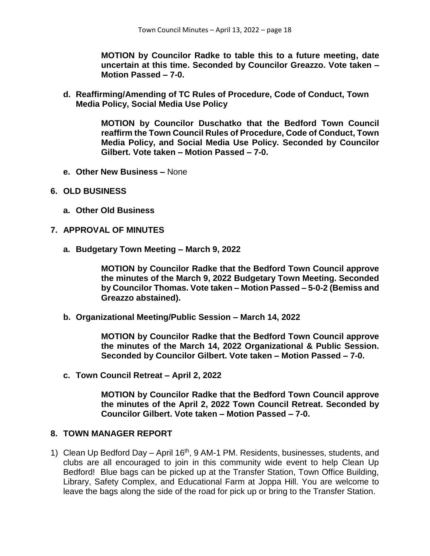**MOTION by Councilor Radke to table this to a future meeting, date uncertain at this time. Seconded by Councilor Greazzo. Vote taken – Motion Passed – 7-0.**

**d. Reaffirming/Amending of TC Rules of Procedure, Code of Conduct, Town Media Policy, Social Media Use Policy**

> **MOTION by Councilor Duschatko that the Bedford Town Council reaffirm the Town Council Rules of Procedure, Code of Conduct, Town Media Policy, and Social Media Use Policy. Seconded by Councilor Gilbert. Vote taken – Motion Passed – 7-0.**

- **e. Other New Business –** None
- **6. OLD BUSINESS**
	- **a. Other Old Business**
- **7. APPROVAL OF MINUTES**
	- **a. Budgetary Town Meeting – March 9, 2022**

**MOTION by Councilor Radke that the Bedford Town Council approve the minutes of the March 9, 2022 Budgetary Town Meeting. Seconded by Councilor Thomas. Vote taken – Motion Passed – 5-0-2 (Bemiss and Greazzo abstained).**

**b. Organizational Meeting/Public Session – March 14, 2022**

**MOTION by Councilor Radke that the Bedford Town Council approve the minutes of the March 14, 2022 Organizational & Public Session. Seconded by Councilor Gilbert. Vote taken – Motion Passed – 7-0.**

**c. Town Council Retreat – April 2, 2022**

**MOTION by Councilor Radke that the Bedford Town Council approve the minutes of the April 2, 2022 Town Council Retreat. Seconded by Councilor Gilbert. Vote taken – Motion Passed – 7-0.**

#### **8. TOWN MANAGER REPORT**

1) Clean Up Bedford Day – April 16<sup>th</sup>, 9 AM-1 PM. Residents, businesses, students, and clubs are all encouraged to join in this community wide event to help Clean Up Bedford! Blue bags can be picked up at the Transfer Station, Town Office Building, Library, Safety Complex, and Educational Farm at Joppa Hill. You are welcome to leave the bags along the side of the road for pick up or bring to the Transfer Station.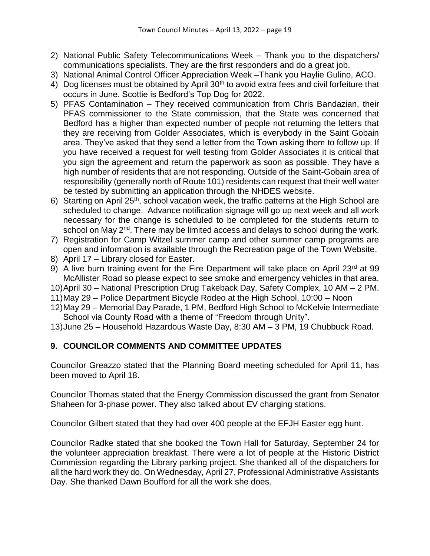- 2) National Public Safety Telecommunications Week Thank you to the dispatchers/ communications specialists. They are the first responders and do a great job.
- 3) National Animal Control Officer Appreciation Week –Thank you Haylie Gulino, ACO.
- 4) Dog licenses must be obtained by April 30<sup>th</sup> to avoid extra fees and civil forfeiture that occurs in June. Scottie is Bedford's Top Dog for 2022.
- 5) PFAS Contamination They received communication from Chris Bandazian, their PFAS commissioner to the State commission, that the State was concerned that Bedford has a higher than expected number of people not returning the letters that they are receiving from Golder Associates, which is everybody in the Saint Gobain area. They've asked that they send a letter from the Town asking them to follow up. If you have received a request for well testing from Golder Associates it is critical that you sign the agreement and return the paperwork as soon as possible. They have a high number of residents that are not responding. Outside of the Saint-Gobain area of responsibility (generally north of Route 101) residents can request that their well water be tested by submitting an application through the NHDES website.
- 6) Starting on April 25<sup>th</sup>, school vacation week, the traffic patterns at the High School are scheduled to change. Advance notification signage will go up next week and all work necessary for the change is scheduled to be completed for the students return to school on May 2<sup>nd</sup>. There may be limited access and delays to school during the work.
- 7) Registration for Camp Witzel summer camp and other summer camp programs are open and information is available through the Recreation page of the Town Website.
- 8) April 17 Library closed for Easter.
- 9) A live burn training event for the Fire Department will take place on April 23rd at 99 McAllister Road so please expect to see smoke and emergency vehicles in that area.
- 10)April 30 National Prescription Drug Takeback Day, Safety Complex, 10 AM 2 PM.
- 11)May 29 Police Department Bicycle Rodeo at the High School, 10:00 Noon
- 12)May 29 Memorial Day Parade, 1 PM, Bedford High School to McKelvie Intermediate School via County Road with a theme of "Freedom through Unity".
- 13)June 25 Household Hazardous Waste Day, 8:30 AM 3 PM, 19 Chubbuck Road.

# **9. COUNCILOR COMMENTS AND COMMITTEE UPDATES**

Councilor Greazzo stated that the Planning Board meeting scheduled for April 11, has been moved to April 18.

Councilor Thomas stated that the Energy Commission discussed the grant from Senator Shaheen for 3-phase power. They also talked about EV charging stations.

Councilor Gilbert stated that they had over 400 people at the EFJH Easter egg hunt.

Councilor Radke stated that she booked the Town Hall for Saturday, September 24 for the volunteer appreciation breakfast. There were a lot of people at the Historic District Commission regarding the Library parking project. She thanked all of the dispatchers for all the hard work they do. On Wednesday, April 27, Professional Administrative Assistants Day. She thanked Dawn Boufford for all the work she does.